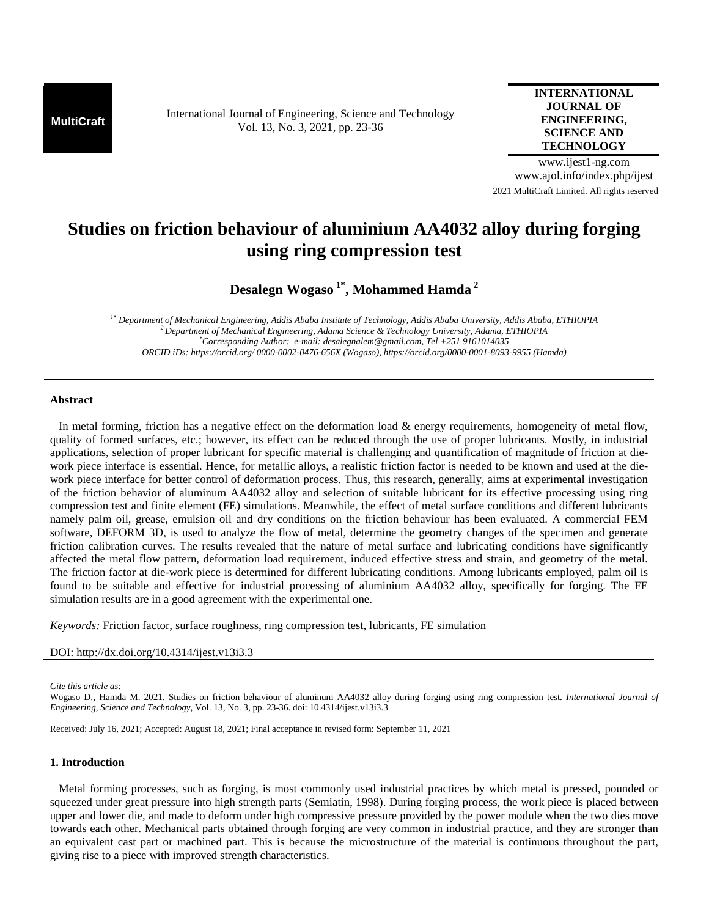**MultiCraft** International Journal of Engineering, Science and Technology Vol. 13, No. 3, 2021, pp. 23-36

**INTERNATIONAL JOURNAL OF ENGINEERING, SCIENCE AND TECHNOLOGY**

www.ijest1-ng.com www.ajol.info/index.php/ijest 2021 MultiCraft Limited. All rights reserved

# **Studies on friction behaviour of aluminium AA4032 alloy during forging using ring compression test**

**Desalegn Wogaso 1\*, Mohammed Hamda<sup>2</sup>**

*1\* Department of Mechanical Engineering, Addis Ababa Institute of Technology, Addis Ababa University, Addis Ababa, ETHIOPIA <sup>2</sup>Department of Mechanical Engineering, Adama Science & Technology University, Adama, ETHIOPIA \*Corresponding Author: e-mail: desalegnalem@gmail.com, Tel +251 9161014035 ORCID iDs: https://orcid.org/ 0000-0002-0476-656X (Wogaso), https://orcid.org/0000-0001-8093-9955 (Hamda)* 

## **Abstract**

 In metal forming, friction has a negative effect on the deformation load & energy requirements, homogeneity of metal flow, quality of formed surfaces, etc.; however, its effect can be reduced through the use of proper lubricants. Mostly, in industrial applications, selection of proper lubricant for specific material is challenging and quantification of magnitude of friction at diework piece interface is essential. Hence, for metallic alloys, a realistic friction factor is needed to be known and used at the diework piece interface for better control of deformation process. Thus, this research, generally, aims at experimental investigation of the friction behavior of aluminum AA4032 alloy and selection of suitable lubricant for its effective processing using ring compression test and finite element (FE) simulations. Meanwhile, the effect of metal surface conditions and different lubricants namely palm oil, grease, emulsion oil and dry conditions on the friction behaviour has been evaluated. A commercial FEM software, DEFORM 3D, is used to analyze the flow of metal, determine the geometry changes of the specimen and generate friction calibration curves. The results revealed that the nature of metal surface and lubricating conditions have significantly affected the metal flow pattern, deformation load requirement, induced effective stress and strain, and geometry of the metal. The friction factor at die-work piece is determined for different lubricating conditions. Among lubricants employed, palm oil is found to be suitable and effective for industrial processing of aluminium AA4032 alloy, specifically for forging. The FE simulation results are in a good agreement with the experimental one.

*Keywords:* Friction factor, surface roughness, ring compression test, lubricants, FE simulation

## DOI: http://dx.doi.org/10.4314/ijest.v13i3.3

*Cite this article as*:

Wogaso D., Hamda M. 2021. Studies on friction behaviour of aluminum AA4032 alloy during forging using ring compression test. *International Journal of Engineering, Science and Technology*, Vol. 13, No. 3, pp. 23-36. doi: 10.4314/ijest.v13i3.3

Received: July 16, 2021; Accepted: August 18, 2021; Final acceptance in revised form: September 11, 2021

# **1. Introduction**

 Metal forming processes, such as forging, is most commonly used industrial practices by which metal is pressed, pounded or squeezed under great pressure into high strength parts (Semiatin, 1998). During forging process, the work piece is placed between upper and lower die, and made to deform under high compressive pressure provided by the power module when the two dies move towards each other. Mechanical parts obtained through forging are very common in industrial practice, and they are stronger than an equivalent cast part or machined part. This is because the microstructure of the material is continuous throughout the part, giving rise to a piece with improved strength characteristics.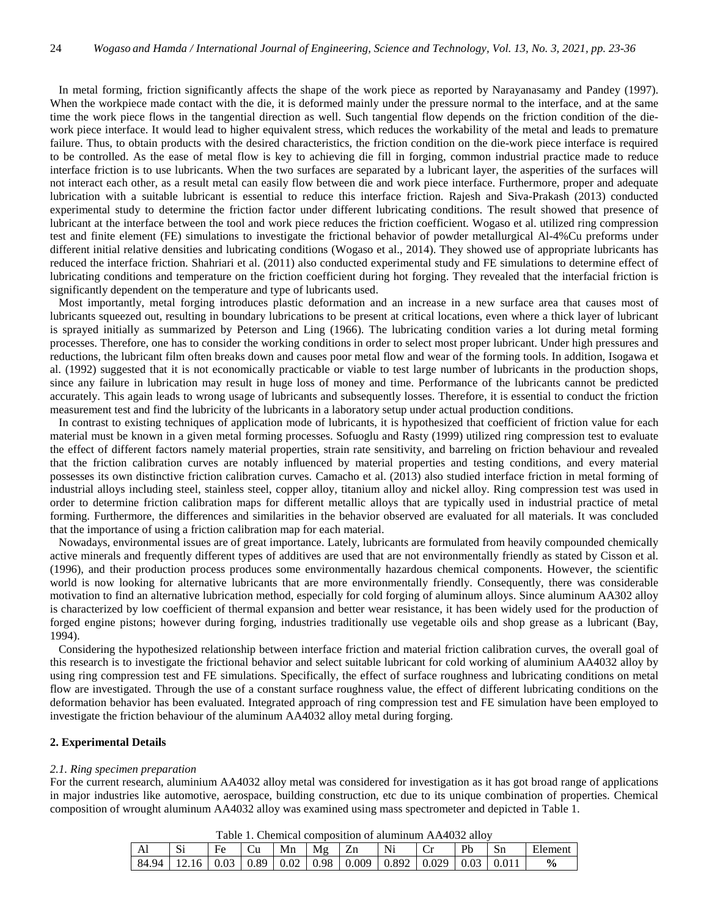In metal forming, friction significantly affects the shape of the work piece as reported by Narayanasamy and Pandey (1997). When the workpiece made contact with the die, it is deformed mainly under the pressure normal to the interface, and at the same time the work piece flows in the tangential direction as well. Such tangential flow depends on the friction condition of the diework piece interface. It would lead to higher equivalent stress, which reduces the workability of the metal and leads to premature failure. Thus, to obtain products with the desired characteristics, the friction condition on the die-work piece interface is required to be controlled. As the ease of metal flow is key to achieving die fill in forging, common industrial practice made to reduce interface friction is to use lubricants. When the two surfaces are separated by a lubricant layer, the asperities of the surfaces will not interact each other, as a result metal can easily flow between die and work piece interface. Furthermore, proper and adequate lubrication with a suitable lubricant is essential to reduce this interface friction. Rajesh and Siva-Prakash (2013) conducted experimental study to determine the friction factor under different lubricating conditions. The result showed that presence of lubricant at the interface between the tool and work piece reduces the friction coefficient. Wogaso et al. utilized ring compression test and finite element (FE) simulations to investigate the frictional behavior of powder metallurgical Al-4%Cu preforms under different initial relative densities and lubricating conditions (Wogaso et al., 2014). They showed use of appropriate lubricants has reduced the interface friction. Shahriari et al. (2011) also conducted experimental study and FE simulations to determine effect of lubricating conditions and temperature on the friction coefficient during hot forging. They revealed that the interfacial friction is significantly dependent on the temperature and type of lubricants used.

 Most importantly, metal forging introduces plastic deformation and an increase in a new surface area that causes most of lubricants squeezed out, resulting in boundary lubrications to be present at critical locations, even where a thick layer of lubricant is sprayed initially as summarized by Peterson and Ling (1966). The lubricating condition varies a lot during metal forming processes. Therefore, one has to consider the working conditions in order to select most proper lubricant. Under high pressures and reductions, the lubricant film often breaks down and causes poor metal flow and wear of the forming tools. In addition, Isogawa et al. (1992) suggested that it is not economically practicable or viable to test large number of lubricants in the production shops, since any failure in lubrication may result in huge loss of money and time. Performance of the lubricants cannot be predicted accurately. This again leads to wrong usage of lubricants and subsequently losses. Therefore, it is essential to conduct the friction measurement test and find the lubricity of the lubricants in a laboratory setup under actual production conditions.

 In contrast to existing techniques of application mode of lubricants, it is hypothesized that coefficient of friction value for each material must be known in a given metal forming processes. Sofuoglu and Rasty (1999) utilized ring compression test to evaluate the effect of different factors namely material properties, strain rate sensitivity, and barreling on friction behaviour and revealed that the friction calibration curves are notably influenced by material properties and testing conditions, and every material possesses its own distinctive friction calibration curves. Camacho et al. (2013) also studied interface friction in metal forming of industrial alloys including steel, stainless steel, copper alloy, titanium alloy and nickel alloy. Ring compression test was used in order to determine friction calibration maps for different metallic alloys that are typically used in industrial practice of metal forming. Furthermore, the differences and similarities in the behavior observed are evaluated for all materials. It was concluded that the importance of using a friction calibration map for each material.

 Nowadays, environmental issues are of great importance. Lately, lubricants are formulated from heavily compounded chemically active minerals and frequently different types of additives are used that are not environmentally friendly as stated by Cisson et al. (1996), and their production process produces some environmentally hazardous chemical components. However, the scientific world is now looking for alternative lubricants that are more environmentally friendly. Consequently, there was considerable motivation to find an alternative lubrication method, especially for cold forging of aluminum alloys. Since aluminum AA302 alloy is characterized by low coefficient of thermal expansion and better wear resistance, it has been widely used for the production of forged engine pistons; however during forging, industries traditionally use vegetable oils and shop grease as a lubricant (Bay, 1994).

 Considering the hypothesized relationship between interface friction and material friction calibration curves, the overall goal of this research is to investigate the frictional behavior and select suitable lubricant for cold working of aluminium AA4032 alloy by using ring compression test and FE simulations. Specifically, the effect of surface roughness and lubricating conditions on metal flow are investigated. Through the use of a constant surface roughness value, the effect of different lubricating conditions on the deformation behavior has been evaluated. Integrated approach of ring compression test and FE simulation have been employed to investigate the friction behaviour of the aluminum AA4032 alloy metal during forging.

## **2. Experimental Details**

#### *2.1. Ring specimen preparation*

For the current research, aluminium AA4032 alloy metal was considered for investigation as it has got broad range of applications in major industries like automotive, aerospace, building construction, etc due to its unique combination of properties. Chemical composition of wrought aluminum AA4032 alloy was examined using mass spectrometer and depicted in Table 1.

| Table 1. Chemical composition of alumnum AA47092 and v |                    |       |            |      |      |       |        |       |      |                |               |
|--------------------------------------------------------|--------------------|-------|------------|------|------|-------|--------|-------|------|----------------|---------------|
| Al                                                     | $\mathbf{C}$<br>٦Π |       |            | Mn   | Mg   |       | Ni     |       | Pb   | $\mathbf{S}$ n | Elemen.       |
| 84.94                                                  | 16                 | -0.03 | $\pm 0.89$ | 0.02 | 0.98 | 0.009 | 10.892 | 0.029 | 0.03 |                | $\frac{6}{6}$ |

Table 1. Chemical composition of aluminum AA4032 alloy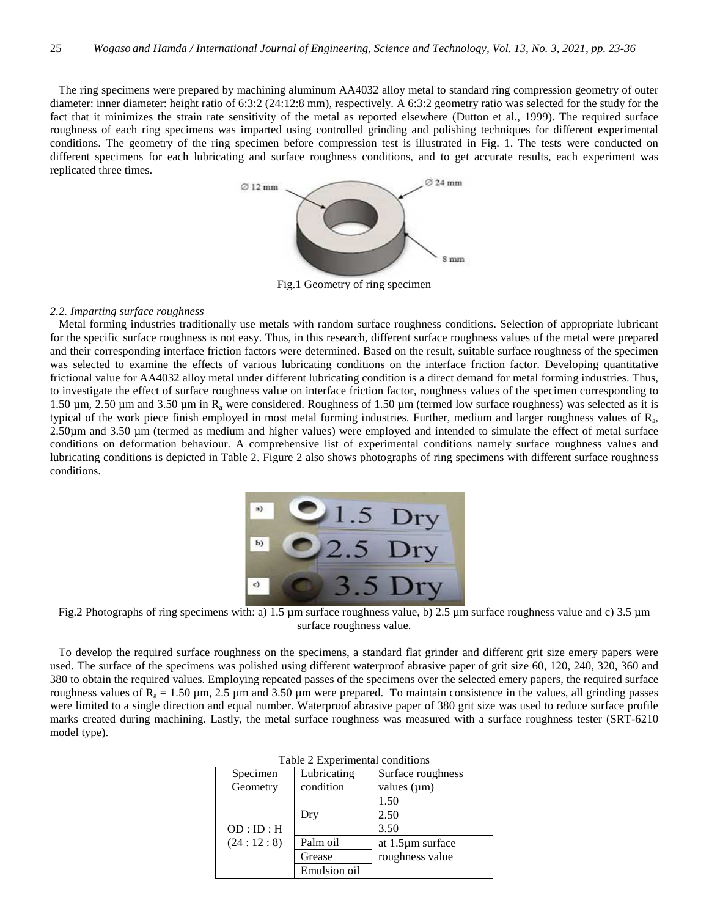The ring specimens were prepared by machining aluminum AA4032 alloy metal to standard ring compression geometry of outer diameter: inner diameter: height ratio of 6:3:2 (24:12:8 mm), respectively. A 6:3:2 geometry ratio was selected for the study for the fact that it minimizes the strain rate sensitivity of the metal as reported elsewhere (Dutton et al., 1999). The required surface roughness of each ring specimens was imparted using controlled grinding and polishing techniques for different experimental conditions. The geometry of the ring specimen before compression test is illustrated in Fig. 1. The tests were conducted on different specimens for each lubricating and surface roughness conditions, and to get accurate results, each experiment was replicated three times.



Fig.1 Geometry of ring specimen

## *2.2. Imparting surface roughness*

 Metal forming industries traditionally use metals with random surface roughness conditions. Selection of appropriate lubricant for the specific surface roughness is not easy. Thus, in this research, different surface roughness values of the metal were prepared and their corresponding interface friction factors were determined. Based on the result, suitable surface roughness of the specimen was selected to examine the effects of various lubricating conditions on the interface friction factor. Developing quantitative frictional value for AA4032 alloy metal under different lubricating condition is a direct demand for metal forming industries. Thus, to investigate the effect of surface roughness value on interface friction factor, roughness values of the specimen corresponding to 1.50  $\mu$ m, 2.50  $\mu$ m and 3.50  $\mu$ m in R<sub>a</sub> were considered. Roughness of 1.50  $\mu$ m (termed low surface roughness) was selected as it is typical of the work piece finish employed in most metal forming industries. Further, medium and larger roughness values of  $R<sub>a</sub>$ , 2.50µm and 3.50 µm (termed as medium and higher values) were employed and intended to simulate the effect of metal surface conditions on deformation behaviour. A comprehensive list of experimental conditions namely surface roughness values and lubricating conditions is depicted in Table 2. Figure 2 also shows photographs of ring specimens with different surface roughness conditions.



Fig.2 Photographs of ring specimens with: a) 1.5 µm surface roughness value, b) 2.5 µm surface roughness value and c) 3.5 µm surface roughness value.

 To develop the required surface roughness on the specimens, a standard flat grinder and different grit size emery papers were used. The surface of the specimens was polished using different waterproof abrasive paper of grit size 60, 120, 240, 320, 360 and 380 to obtain the required values. Employing repeated passes of the specimens over the selected emery papers, the required surface roughness values of  $R_a = 1.50 \mu m$ , 2.5  $\mu m$  and 3.50  $\mu m$  were prepared. To maintain consistence in the values, all grinding passes were limited to a single direction and equal number. Waterproof abrasive paper of 380 grit size was used to reduce surface profile marks created during machining. Lastly, the metal surface roughness was measured with a surface roughness tester (SRT-6210 model type).

| r abio 2 Exportancia conditions |              |                   |  |  |  |  |  |
|---------------------------------|--------------|-------------------|--|--|--|--|--|
| Specimen                        | Lubricating  | Surface roughness |  |  |  |  |  |
| Geometry                        | condition    | values $(\mu m)$  |  |  |  |  |  |
|                                 |              | 1.50              |  |  |  |  |  |
|                                 | Dry          | 2.50              |  |  |  |  |  |
| OD:ID:H                         |              | 3.50              |  |  |  |  |  |
| (24:12:8)                       | Palm oil     | at 1.5µm surface  |  |  |  |  |  |
|                                 | Grease       | roughness value   |  |  |  |  |  |
|                                 | Emulsion oil |                   |  |  |  |  |  |

|  |  | Table 2 Experimental conditions |  |
|--|--|---------------------------------|--|
|--|--|---------------------------------|--|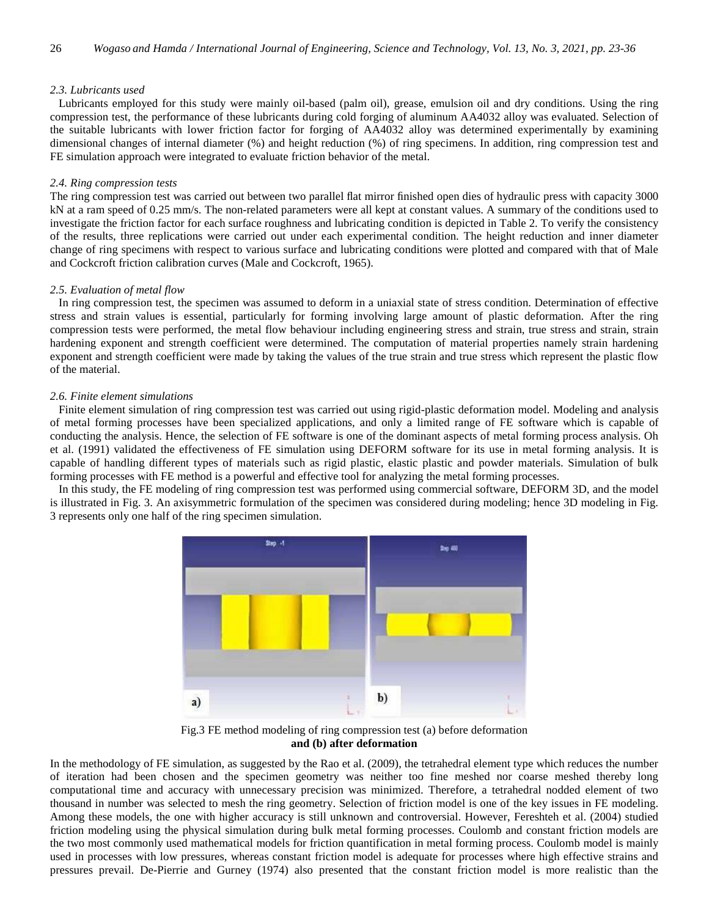# *2.3. Lubricants used*

 Lubricants employed for this study were mainly oil-based (palm oil), grease, emulsion oil and dry conditions. Using the ring compression test, the performance of these lubricants during cold forging of aluminum AA4032 alloy was evaluated. Selection of the suitable lubricants with lower friction factor for forging of AA4032 alloy was determined experimentally by examining dimensional changes of internal diameter (%) and height reduction (%) of ring specimens. In addition, ring compression test and FE simulation approach were integrated to evaluate friction behavior of the metal.

# *2.4. Ring compression tests*

The ring compression test was carried out between two parallel flat mirror finished open dies of hydraulic press with capacity 3000 kN at a ram speed of 0.25 mm/s. The non-related parameters were all kept at constant values. A summary of the conditions used to investigate the friction factor for each surface roughness and lubricating condition is depicted in Table 2. To verify the consistency of the results, three replications were carried out under each experimental condition. The height reduction and inner diameter change of ring specimens with respect to various surface and lubricating conditions were plotted and compared with that of Male and Cockcroft friction calibration curves (Male and Cockcroft, 1965).

# *2.5. Evaluation of metal flow*

 In ring compression test, the specimen was assumed to deform in a uniaxial state of stress condition. Determination of effective stress and strain values is essential, particularly for forming involving large amount of plastic deformation. After the ring compression tests were performed, the metal flow behaviour including engineering stress and strain, true stress and strain, strain hardening exponent and strength coefficient were determined. The computation of material properties namely strain hardening exponent and strength coefficient were made by taking the values of the true strain and true stress which represent the plastic flow of the material.

# *2.6. Finite element simulations*

 Finite element simulation of ring compression test was carried out using rigid-plastic deformation model. Modeling and analysis of metal forming processes have been specialized applications, and only a limited range of FE software which is capable of conducting the analysis. Hence, the selection of FE software is one of the dominant aspects of metal forming process analysis. Oh et al. (1991) validated the effectiveness of FE simulation using DEFORM software for its use in metal forming analysis. It is capable of handling different types of materials such as rigid plastic, elastic plastic and powder materials. Simulation of bulk forming processes with FE method is a powerful and effective tool for analyzing the metal forming processes.

 In this study, the FE modeling of ring compression test was performed using commercial software, DEFORM 3D, and the model is illustrated in Fig. 3. An axisymmetric formulation of the specimen was considered during modeling; hence 3D modeling in Fig. 3 represents only one half of the ring specimen simulation.



Fig.3 FE method modeling of ring compression test (a) before deformation **and (b) after deformation** 

In the methodology of FE simulation, as suggested by the Rao et al. (2009), the tetrahedral element type which reduces the number of iteration had been chosen and the specimen geometry was neither too fine meshed nor coarse meshed thereby long computational time and accuracy with unnecessary precision was minimized. Therefore, a tetrahedral nodded element of two thousand in number was selected to mesh the ring geometry. Selection of friction model is one of the key issues in FE modeling. Among these models, the one with higher accuracy is still unknown and controversial. However, Fereshteh et al. (2004) studied friction modeling using the physical simulation during bulk metal forming processes. Coulomb and constant friction models are the two most commonly used mathematical models for friction quantification in metal forming process. Coulomb model is mainly used in processes with low pressures, whereas constant friction model is adequate for processes where high effective strains and pressures prevail. De-Pierrie and Gurney (1974) also presented that the constant friction model is more realistic than the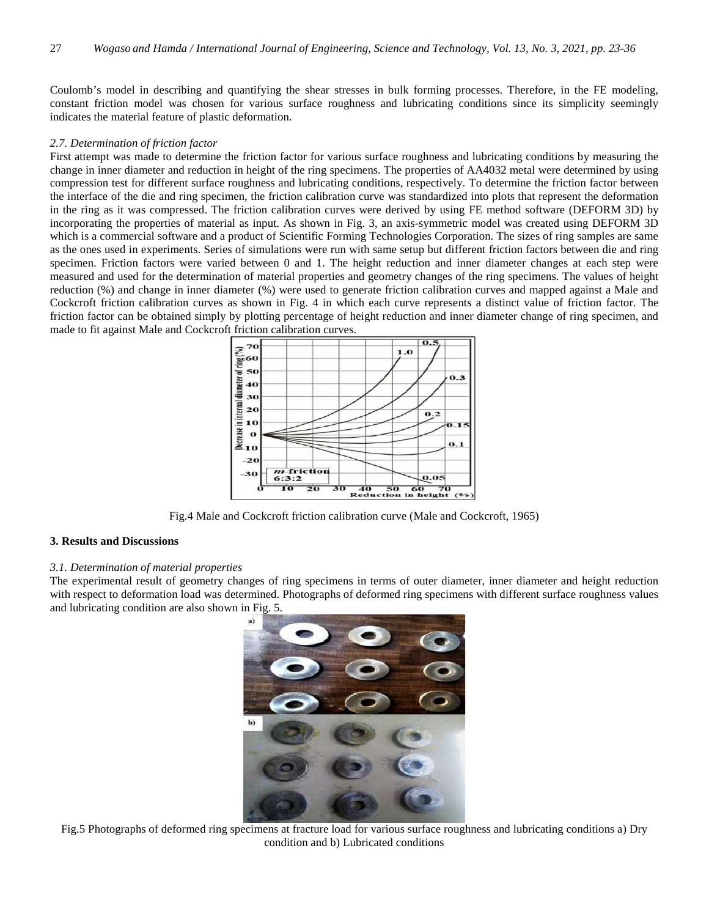Coulomb's model in describing and quantifying the shear stresses in bulk forming processes. Therefore, in the FE modeling, constant friction model was chosen for various surface roughness and lubricating conditions since its simplicity seemingly indicates the material feature of plastic deformation.

# *2.7. Determination of friction factor*

First attempt was made to determine the friction factor for various surface roughness and lubricating conditions by measuring the change in inner diameter and reduction in height of the ring specimens. The properties of AA4032 metal were determined by using compression test for different surface roughness and lubricating conditions, respectively. To determine the friction factor between the interface of the die and ring specimen, the friction calibration curve was standardized into plots that represent the deformation in the ring as it was compressed. The friction calibration curves were derived by using FE method software (DEFORM 3D) by incorporating the properties of material as input. As shown in Fig. 3, an axis-symmetric model was created using DEFORM 3D which is a commercial software and a product of Scientific Forming Technologies Corporation. The sizes of ring samples are same as the ones used in experiments. Series of simulations were run with same setup but different friction factors between die and ring specimen. Friction factors were varied between 0 and 1. The height reduction and inner diameter changes at each step were measured and used for the determination of material properties and geometry changes of the ring specimens. The values of height reduction (%) and change in inner diameter (%) were used to generate friction calibration curves and mapped against a Male and Cockcroft friction calibration curves as shown in Fig. 4 in which each curve represents a distinct value of friction factor. The friction factor can be obtained simply by plotting percentage of height reduction and inner diameter change of ring specimen, and made to fit against Male and Cockcroft friction calibration curves.



Fig.4 Male and Cockcroft friction calibration curve (Male and Cockcroft, 1965)

# **3. Results and Discussions**

# *3.1. Determination of material properties*

The experimental result of geometry changes of ring specimens in terms of outer diameter, inner diameter and height reduction with respect to deformation load was determined. Photographs of deformed ring specimens with different surface roughness values and lubricating condition are also shown in Fig. 5.



Fig.5 Photographs of deformed ring specimens at fracture load for various surface roughness and lubricating conditions a) Dry condition and b) Lubricated conditions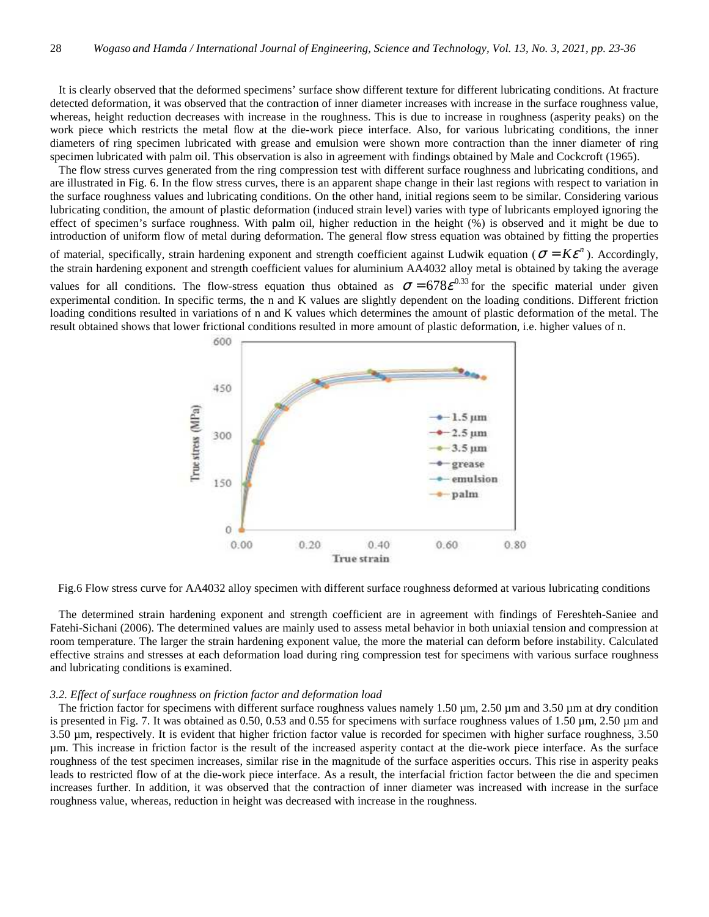It is clearly observed that the deformed specimens' surface show different texture for different lubricating conditions. At fracture detected deformation, it was observed that the contraction of inner diameter increases with increase in the surface roughness value, whereas, height reduction decreases with increase in the roughness. This is due to increase in roughness (asperity peaks) on the work piece which restricts the metal flow at the die-work piece interface. Also, for various lubricating conditions, the inner diameters of ring specimen lubricated with grease and emulsion were shown more contraction than the inner diameter of ring specimen lubricated with palm oil. This observation is also in agreement with findings obtained by Male and Cockcroft (1965).

 The flow stress curves generated from the ring compression test with different surface roughness and lubricating conditions, and are illustrated in Fig. 6. In the flow stress curves, there is an apparent shape change in their last regions with respect to variation in the surface roughness values and lubricating conditions. On the other hand, initial regions seem to be similar. Considering various lubricating condition, the amount of plastic deformation (induced strain level) varies with type of lubricants employed ignoring the effect of specimen's surface roughness. With palm oil, higher reduction in the height (%) is observed and it might be due to introduction of uniform flow of metal during deformation. The general flow stress equation was obtained by fitting the properties of material, specifically, strain hardening exponent and strength coefficient against Ludwik equation ( $\sigma = K \varepsilon^n$ ). Accordingly, the strain hardening exponent and strength coefficient values for aluminium AA4032 alloy metal is obtained by taking the average values for all conditions. The flow-stress equation thus obtained as  $\sigma = 678 \varepsilon^{0.33}$  for the specific material under given experimental condition. In specific terms, the n and K values are slightly dependent on the loading conditions. Different friction loading conditions resulted in variations of n and K values which determines the amount of plastic deformation of the metal. The result obtained shows that lower frictional conditions resulted in more amount of plastic deformation, i.e. higher values of n.





 The determined strain hardening exponent and strength coefficient are in agreement with findings of Fereshteh-Saniee and Fatehi-Sichani (2006). The determined values are mainly used to assess metal behavior in both uniaxial tension and compression at room temperature. The larger the strain hardening exponent value, the more the material can deform before instability. Calculated effective strains and stresses at each deformation load during ring compression test for specimens with various surface roughness and lubricating conditions is examined.

## *3.2. Effect of surface roughness on friction factor and deformation load*

The friction factor for specimens with different surface roughness values namely  $1.50 \,\mu$ m,  $2.50 \,\mu$ m and  $3.50 \,\mu$ m at dry condition is presented in Fig. 7. It was obtained as 0.50, 0.53 and 0.55 for specimens with surface roughness values of  $1.50 \,\mu \text{m}$ , 2.50  $\mu$ m and 3.50 µm, respectively. It is evident that higher friction factor value is recorded for specimen with higher surface roughness, 3.50 µm. This increase in friction factor is the result of the increased asperity contact at the die-work piece interface. As the surface roughness of the test specimen increases, similar rise in the magnitude of the surface asperities occurs. This rise in asperity peaks leads to restricted flow of at the die-work piece interface. As a result, the interfacial friction factor between the die and specimen increases further. In addition, it was observed that the contraction of inner diameter was increased with increase in the surface roughness value, whereas, reduction in height was decreased with increase in the roughness.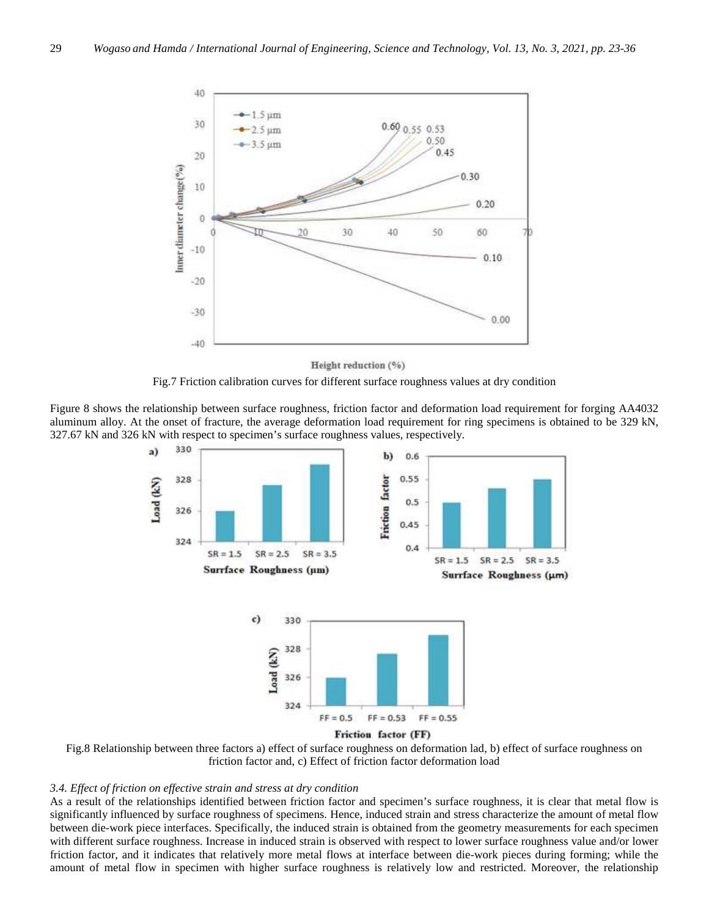

Height reduction (%)



Figure 8 shows the relationship between surface roughness, friction factor and deformation load requirement for forging AA4032 aluminum alloy. At the onset of fracture, the average deformation load requirement for ring specimens is obtained to be 329 kN, 327.67 kN and 326 kN with respect to specimen's surface roughness values, respectively.



Fig.8 Relationship between three factors a) effect of surface roughness on deformation lad, b) effect of surface roughness on friction factor and, c) Effect of friction factor deformation load

## *3.4. Effect of friction on effective strain and stress at dry condition*

As a result of the relationships identified between friction factor and specimen's surface roughness, it is clear that metal flow is significantly influenced by surface roughness of specimens. Hence, induced strain and stress characterize the amount of metal flow between die-work piece interfaces. Specifically, the induced strain is obtained from the geometry measurements for each specimen with different surface roughness. Increase in induced strain is observed with respect to lower surface roughness value and/or lower friction factor, and it indicates that relatively more metal flows at interface between die-work pieces during forming; while the amount of metal flow in specimen with higher surface roughness is relatively low and restricted. Moreover, the relationship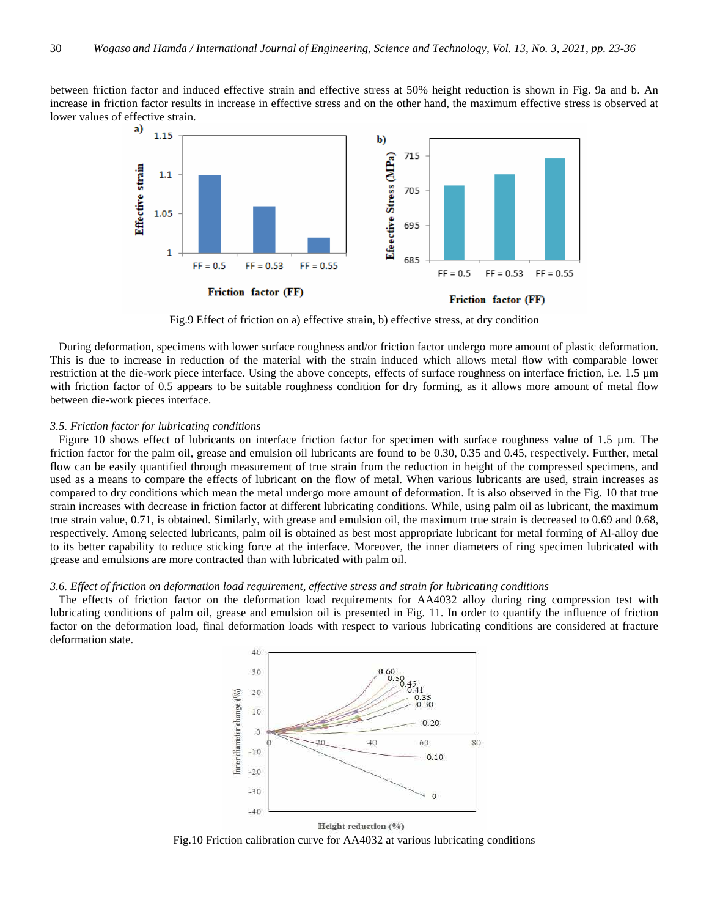between friction factor and induced effective strain and effective stress at 50% height reduction is shown in Fig. 9a and b. An increase in friction factor results in increase in effective stress and on the other hand, the maximum effective stress is observed at lower values of effective strain.



Fig.9 Effect of friction on a) effective strain, b) effective stress, at dry condition

 During deformation, specimens with lower surface roughness and/or friction factor undergo more amount of plastic deformation. This is due to increase in reduction of the material with the strain induced which allows metal flow with comparable lower restriction at the die-work piece interface. Using the above concepts, effects of surface roughness on interface friction, i.e. 1.5 µm with friction factor of 0.5 appears to be suitable roughness condition for dry forming, as it allows more amount of metal flow between die-work pieces interface.

## *3.5. Friction factor for lubricating conditions*

 Figure 10 shows effect of lubricants on interface friction factor for specimen with surface roughness value of 1.5 µm. The friction factor for the palm oil, grease and emulsion oil lubricants are found to be 0.30, 0.35 and 0.45, respectively. Further, metal flow can be easily quantified through measurement of true strain from the reduction in height of the compressed specimens, and used as a means to compare the effects of lubricant on the flow of metal. When various lubricants are used, strain increases as compared to dry conditions which mean the metal undergo more amount of deformation. It is also observed in the Fig. 10 that true strain increases with decrease in friction factor at different lubricating conditions. While, using palm oil as lubricant, the maximum true strain value, 0.71, is obtained. Similarly, with grease and emulsion oil, the maximum true strain is decreased to 0.69 and 0.68, respectively. Among selected lubricants, palm oil is obtained as best most appropriate lubricant for metal forming of Al-alloy due to its better capability to reduce sticking force at the interface. Moreover, the inner diameters of ring specimen lubricated with grease and emulsions are more contracted than with lubricated with palm oil.

## *3.6. Effect of friction on deformation load requirement, effective stress and strain for lubricating conditions*

 The effects of friction factor on the deformation load requirements for AA4032 alloy during ring compression test with lubricating conditions of palm oil, grease and emulsion oil is presented in Fig. 11. In order to quantify the influence of friction factor on the deformation load, final deformation loads with respect to various lubricating conditions are considered at fracture deformation state.



Height reduction (%)

Fig.10 Friction calibration curve for AA4032 at various lubricating conditions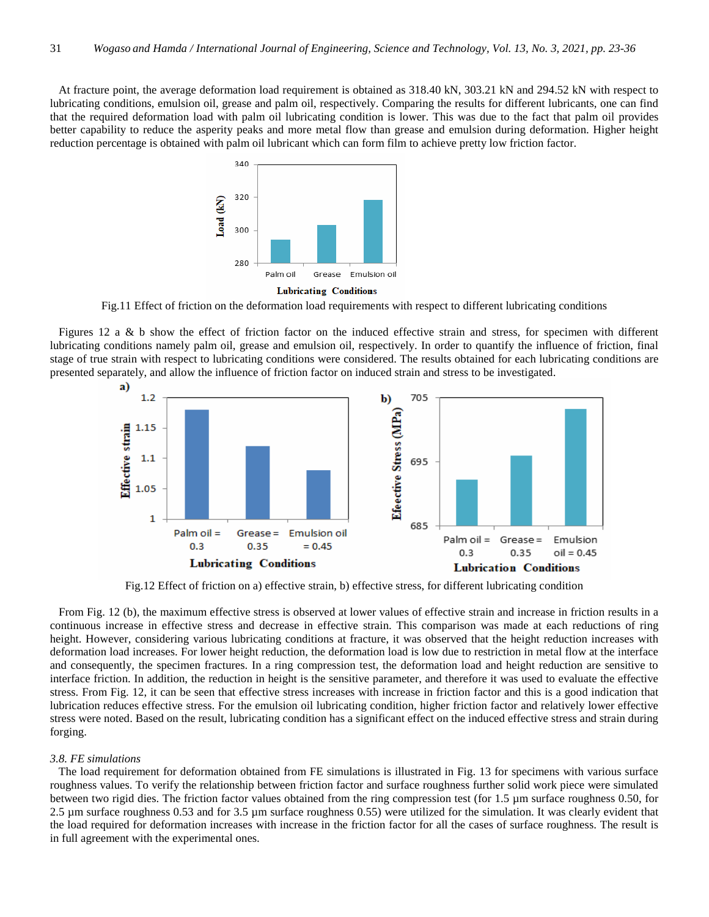At fracture point, the average deformation load requirement is obtained as 318.40 kN, 303.21 kN and 294.52 kN with respect to lubricating conditions, emulsion oil, grease and palm oil, respectively. Comparing the results for different lubricants, one can find that the required deformation load with palm oil lubricating condition is lower. This was due to the fact that palm oil provides better capability to reduce the asperity peaks and more metal flow than grease and emulsion during deformation. Higher height reduction percentage is obtained with palm oil lubricant which can form film to achieve pretty low friction factor.



Fig.11 Effect of friction on the deformation load requirements with respect to different lubricating conditions

Figures 12 a  $\&$  b show the effect of friction factor on the induced effective strain and stress, for specimen with different lubricating conditions namely palm oil, grease and emulsion oil, respectively. In order to quantify the influence of friction, final stage of true strain with respect to lubricating conditions were considered. The results obtained for each lubricating conditions are presented separately, and allow the influence of friction factor on induced strain and stress to be investigated.



Fig.12 Effect of friction on a) effective strain, b) effective stress, for different lubricating condition

 From Fig. 12 (b), the maximum effective stress is observed at lower values of effective strain and increase in friction results in a continuous increase in effective stress and decrease in effective strain. This comparison was made at each reductions of ring height. However, considering various lubricating conditions at fracture, it was observed that the height reduction increases with deformation load increases. For lower height reduction, the deformation load is low due to restriction in metal flow at the interface and consequently, the specimen fractures. In a ring compression test, the deformation load and height reduction are sensitive to interface friction. In addition, the reduction in height is the sensitive parameter, and therefore it was used to evaluate the effective stress. From Fig. 12, it can be seen that effective stress increases with increase in friction factor and this is a good indication that lubrication reduces effective stress. For the emulsion oil lubricating condition, higher friction factor and relatively lower effective stress were noted. Based on the result, lubricating condition has a significant effect on the induced effective stress and strain during forging.

# *3.8. FE simulations*

 The load requirement for deformation obtained from FE simulations is illustrated in Fig. 13 for specimens with various surface roughness values. To verify the relationship between friction factor and surface roughness further solid work piece were simulated between two rigid dies. The friction factor values obtained from the ring compression test (for 1.5 µm surface roughness 0.50, for 2.5 µm surface roughness 0.53 and for 3.5 µm surface roughness 0.55) were utilized for the simulation. It was clearly evident that the load required for deformation increases with increase in the friction factor for all the cases of surface roughness. The result is in full agreement with the experimental ones.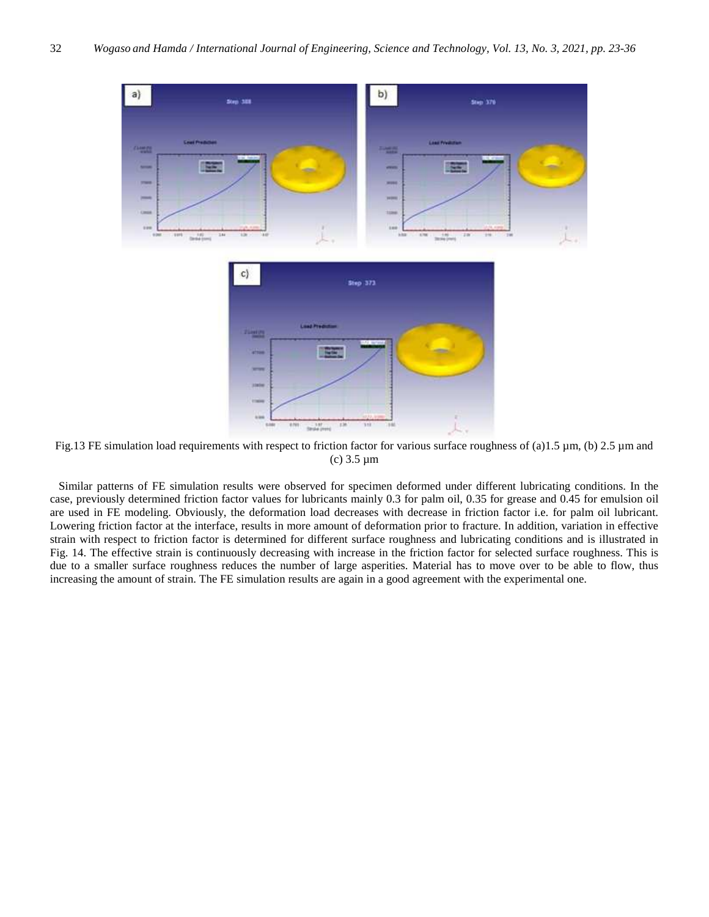

Fig.13 FE simulation load requirements with respect to friction factor for various surface roughness of (a)1.5  $\mu$ m, (b) 2.5  $\mu$ m and (c) 3.5 µm

 Similar patterns of FE simulation results were observed for specimen deformed under different lubricating conditions. In the case, previously determined friction factor values for lubricants mainly 0.3 for palm oil, 0.35 for grease and 0.45 for emulsion oil are used in FE modeling. Obviously, the deformation load decreases with decrease in friction factor i.e. for palm oil lubricant. Lowering friction factor at the interface, results in more amount of deformation prior to fracture. In addition, variation in effective strain with respect to friction factor is determined for different surface roughness and lubricating conditions and is illustrated in Fig. 14. The effective strain is continuously decreasing with increase in the friction factor for selected surface roughness. This is due to a smaller surface roughness reduces the number of large asperities. Material has to move over to be able to flow, thus increasing the amount of strain. The FE simulation results are again in a good agreement with the experimental one.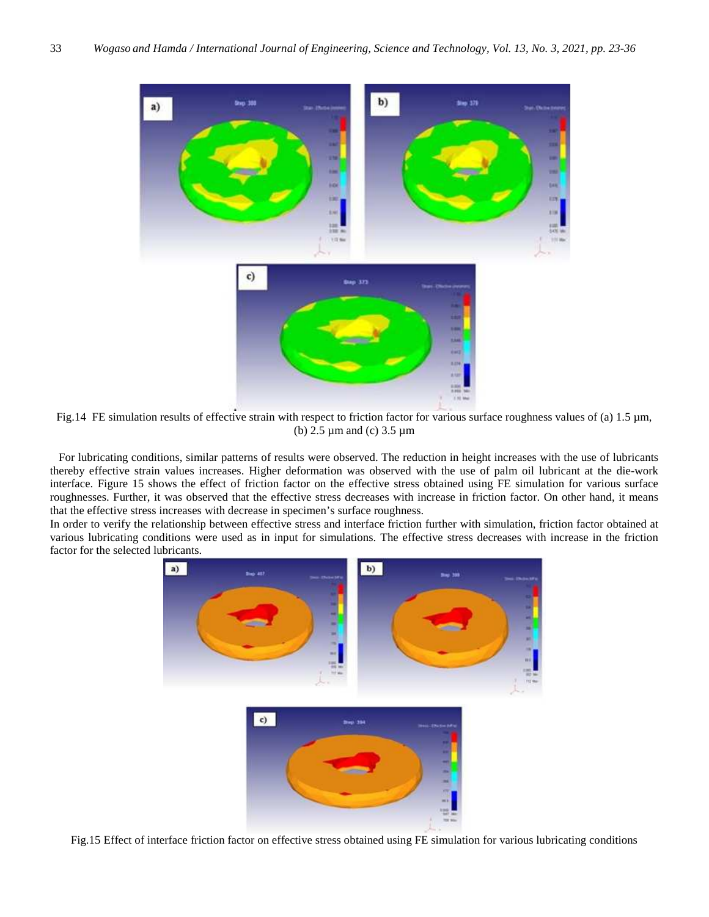

Fig.14 FE simulation results of effective strain with respect to friction factor for various surface roughness values of (a) 1.5 µm, (b) 2.5 µm and (c) 3.5 µm

 For lubricating conditions, similar patterns of results were observed. The reduction in height increases with the use of lubricants thereby effective strain values increases. Higher deformation was observed with the use of palm oil lubricant at the die-work interface. Figure 15 shows the effect of friction factor on the effective stress obtained using FE simulation for various surface roughnesses. Further, it was observed that the effective stress decreases with increase in friction factor. On other hand, it means that the effective stress increases with decrease in specimen's surface roughness.

In order to verify the relationship between effective stress and interface friction further with simulation, friction factor obtained at various lubricating conditions were used as in input for simulations. The effective stress decreases with increase in the friction factor for the selected lubricants.



Fig.15 Effect of interface friction factor on effective stress obtained using FE simulation for various lubricating conditions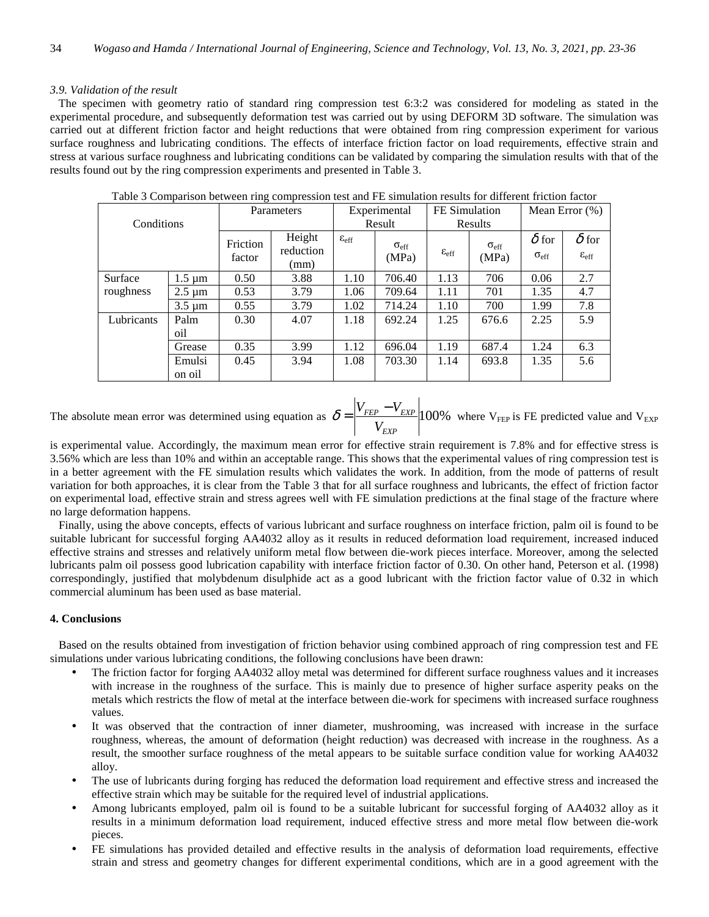# *3.9. Validation of the result*

 The specimen with geometry ratio of standard ring compression test 6:3:2 was considered for modeling as stated in the experimental procedure, and subsequently deformation test was carried out by using DEFORM 3D software. The simulation was carried out at different friction factor and height reductions that were obtained from ring compression experiment for various surface roughness and lubricating conditions. The effects of interface friction factor on load requirements, effective strain and stress at various surface roughness and lubricating conditions can be validated by comparing the simulation results with that of the results found out by the ring compression experiments and presented in Table 3.

| Conditions |                          | Parameters         |                     | Experimental         |                             | FE Simulation           |                           | Mean Error $(\%)$                |                                         |
|------------|--------------------------|--------------------|---------------------|----------------------|-----------------------------|-------------------------|---------------------------|----------------------------------|-----------------------------------------|
|            |                          |                    |                     | Result               |                             | Results                 |                           |                                  |                                         |
|            |                          | Friction<br>factor | Height<br>reduction | $\epsilon_{\rm eff}$ | $\sigma_{\rm eff}$<br>(MPa) | $\varepsilon_{\rm eff}$ | $O_{\text{eff}}$<br>(MPa) | $\delta$ for<br>$O_{\text{eff}}$ | $\delta$ for<br>$\varepsilon_{\rm eff}$ |
|            |                          |                    | (mm)                |                      |                             |                         |                           |                                  |                                         |
| Surface    | $1.5 \,\mathrm{\mu m}$   | 0.50               | 3.88                | 1.10                 | 706.40                      | 1.13                    | 706                       | 0.06                             | 2.7                                     |
| roughness  | $2.5 \,\mathrm{\upmu m}$ | 0.53               | 3.79                | 1.06                 | 709.64                      | 1.11                    | 701                       | 1.35                             | 4.7                                     |
|            | $3.5 \,\mathrm{\upmu m}$ | 0.55               | 3.79                | 1.02                 | 714.24                      | 1.10                    | 700                       | 1.99                             | 7.8                                     |
| Lubricants | Palm                     | 0.30               | 4.07                | 1.18                 | 692.24                      | 1.25                    | 676.6                     | 2.25                             | 5.9                                     |
|            | oil                      |                    |                     |                      |                             |                         |                           |                                  |                                         |
|            | Grease                   | 0.35               | 3.99                | 1.12                 | 696.04                      | 1.19                    | 687.4                     | 1.24                             | 6.3                                     |
|            | Emulsi                   | 0.45               | 3.94                | 1.08                 | 703.30                      | 1.14                    | 693.8                     | 1.35                             | 5.6                                     |
|            | on oil                   |                    |                     |                      |                             |                         |                           |                                  |                                         |

Table 3 Comparison between ring compression test and FE simulation results for different friction factor

The absolute mean error was determined using equation as  $\delta = \frac{F_{FEP} - F_{EXP}}{F_{AT}}$  100% *EXP FEP EXP V*  $\delta = \frac{|V_{FEP} - V_{EXP}|}{V_{FEP}}$  100% where V<sub>FEP</sub> is FE predicted value and V<sub>EXP</sub>

is experimental value. Accordingly, the maximum mean error for effective strain requirement is 7.8% and for effective stress is 3.56% which are less than 10% and within an acceptable range. This shows that the experimental values of ring compression test is in a better agreement with the FE simulation results which validates the work. In addition, from the mode of patterns of result variation for both approaches, it is clear from the Table 3 that for all surface roughness and lubricants, the effect of friction factor on experimental load, effective strain and stress agrees well with FE simulation predictions at the final stage of the fracture where no large deformation happens.

 Finally, using the above concepts, effects of various lubricant and surface roughness on interface friction, palm oil is found to be suitable lubricant for successful forging AA4032 alloy as it results in reduced deformation load requirement, increased induced effective strains and stresses and relatively uniform metal flow between die-work pieces interface. Moreover, among the selected lubricants palm oil possess good lubrication capability with interface friction factor of 0.30. On other hand, Peterson et al. (1998) correspondingly, justified that molybdenum disulphide act as a good lubricant with the friction factor value of 0.32 in which commercial aluminum has been used as base material.

# **4. Conclusions**

 Based on the results obtained from investigation of friction behavior using combined approach of ring compression test and FE simulations under various lubricating conditions, the following conclusions have been drawn:

- The friction factor for forging AA4032 alloy metal was determined for different surface roughness values and it increases with increase in the roughness of the surface. This is mainly due to presence of higher surface asperity peaks on the metals which restricts the flow of metal at the interface between die-work for specimens with increased surface roughness values.
- It was observed that the contraction of inner diameter, mushrooming, was increased with increase in the surface roughness, whereas, the amount of deformation (height reduction) was decreased with increase in the roughness. As a result, the smoother surface roughness of the metal appears to be suitable surface condition value for working AA4032 alloy.
- The use of lubricants during forging has reduced the deformation load requirement and effective stress and increased the effective strain which may be suitable for the required level of industrial applications.
- Among lubricants employed, palm oil is found to be a suitable lubricant for successful forging of AA4032 alloy as it results in a minimum deformation load requirement, induced effective stress and more metal flow between die-work pieces.
- FE simulations has provided detailed and effective results in the analysis of deformation load requirements, effective strain and stress and geometry changes for different experimental conditions, which are in a good agreement with the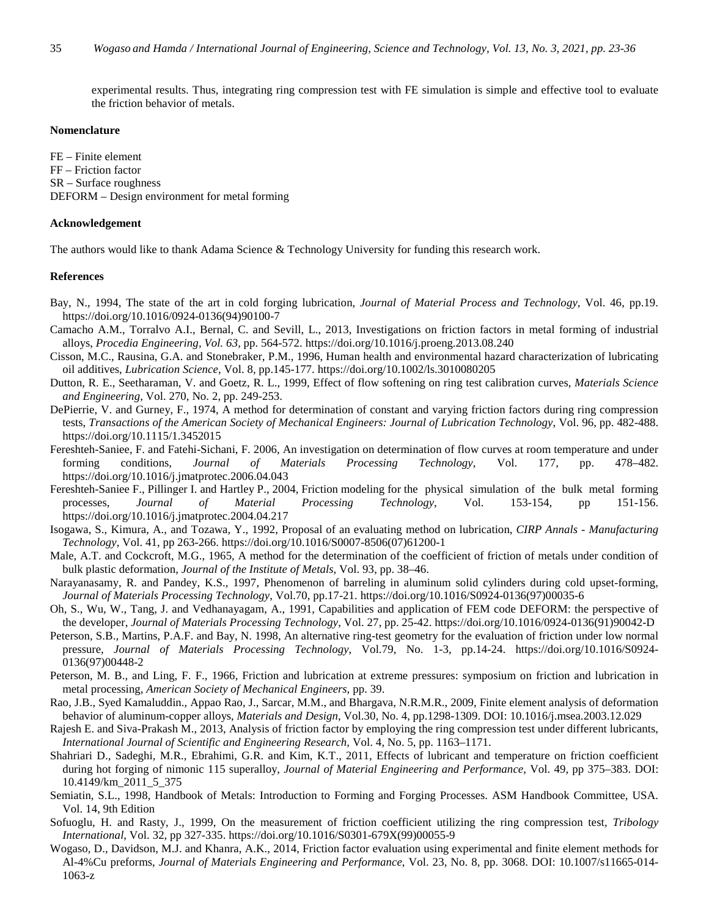experimental results. Thus, integrating ring compression test with FE simulation is simple and effective tool to evaluate the friction behavior of metals.

## **Nomenclature**

FE – Finite element FF – Friction factor SR – Surface roughness DEFORM – Design environment for metal forming

# **Acknowledgement**

The authors would like to thank Adama Science & Technology University for funding this research work.

#### **References**

- Bay, N., 1994, The state of the art in cold forging lubrication, *Journal of Material Process and Technology*, Vol. 46, pp.19. https://doi.org/10.1016/0924-0136(94)90100-7
- Camacho A.M., Torralvo A.I., Bernal, C. and Sevill, L., 2013, Investigations on friction factors in metal forming of industrial alloys, *Procedia Engineering, Vol. 63,* pp. 564-572. https://doi.org/10.1016/j.proeng.2013.08.240
- Cisson, M.C., Rausina, G.A. and Stonebraker, P.M., 1996, Human health and environmental hazard characterization of lubricating oil additives, *Lubrication Science*, Vol. 8, pp.145-177. https://doi.org/10.1002/ls.3010080205
- Dutton, R. E., Seetharaman, V. and Goetz, R. L., 1999, Effect of flow softening on ring test calibration curves, *Materials Science and Engineering*, Vol. 270, No. 2, pp. 249-253.
- DePierrie, V. and Gurney, F., 1974, A method for determination of constant and varying friction factors during ring compression tests, *Transactions of the American Society of Mechanical Engineers: Journal of Lubrication Technology*, Vol. 96, pp. 482-488. https://doi.org/10.1115/1.3452015
- Fereshteh-Saniee, F. and Fatehi-Sichani, F. 2006, An investigation on determination of flow curves at room temperature and under forming conditions, *Journal of Materials Processing Technology*, Vol. 177, pp. 478–482. https://doi.org/10.1016/j.jmatprotec.2006.04.043
- Fereshteh-Saniee F., Pillinger I. and Hartley P., 2004, Friction modeling for the physical simulation of the bulk metal forming processes, *Journal of Material Processing Technology*, Vol. 153-154, pp 151-156. https://doi.org/10.1016/j.jmatprotec.2004.04.217
- Isogawa, S., Kimura, A., and Tozawa, Y., 1992, Proposal of an evaluating method on lubrication, *CIRP Annals Manufacturing Technology*, Vol. 41, pp 263-266. https://doi.org/10.1016/S0007-8506(07)61200-1
- Male, A.T. and Cockcroft, M.G., 1965, A method for the determination of the coefficient of friction of metals under condition of bulk plastic deformation, *Journal of the Institute of Metals*, Vol. 93, pp. 38–46.
- Narayanasamy, R. and Pandey, K.S., 1997, Phenomenon of barreling in aluminum solid cylinders during cold upset-forming, *Journal of Materials Processing Technology*, Vol.70, pp.17-21. https://doi.org/10.1016/S0924-0136(97)00035-6
- Oh, S., Wu, W., Tang, J. and Vedhanayagam, A., 1991, Capabilities and application of FEM code DEFORM: the perspective of the developer, *Journal of Materials Processing Technology*, Vol. 27, pp. 25-42. https://doi.org/10.1016/0924-0136(91)90042-D
- Peterson, S.B., Martins, P.A.F. and Bay, N. 1998, An alternative ring-test geometry for the evaluation of friction under low normal pressure, *Journal of Materials Processing Technology*, Vol.79, No. 1-3, pp.14-24. https://doi.org/10.1016/S0924- 0136(97)00448-2
- Peterson, M. B., and Ling, F. F., 1966, Friction and lubrication at extreme pressures: symposium on friction and lubrication in metal processing, *American Society of Mechanical Engineers*, pp. 39.
- Rao, J.B., Syed Kamaluddin., Appao Rao, J., Sarcar, M.M., and Bhargava, N.R.M.R., 2009, Finite element analysis of deformation behavior of aluminum-copper alloys, *Materials and Design*, Vol.30, No. 4, pp.1298-1309. DOI: 10.1016/j.msea.2003.12.029
- Rajesh E. and Siva-Prakash M., 2013, Analysis of friction factor by employing the ring compression test under different lubricants, *International Journal of Scientific and Engineering Research*, Vol. 4, No. 5, pp. 1163–1171.
- Shahriari D., Sadeghi, M.R., Ebrahimi, G.R. and Kim, K.T., 2011, Effects of lubricant and temperature on friction coefficient during hot forging of nimonic 115 superalloy, *Journal of Material Engineering and Performance*, Vol. 49, pp 375–383. DOI: 10.4149/km\_2011\_5\_375
- Semiatin, S.L., 1998, Handbook of Metals: Introduction to Forming and Forging Processes. ASM Handbook Committee, USA. Vol. 14, 9th Edition
- Sofuoglu, H. and Rasty, J., 1999, On the measurement of friction coefficient utilizing the ring compression test, *Tribology International*, Vol. 32, pp 327-335. https://doi.org/10.1016/S0301-679X(99)00055-9
- Wogaso, D., Davidson, M.J. and Khanra, A.K., 2014, Friction factor evaluation using experimental and finite element methods for Al-4%Cu preforms, *Journal of Materials Engineering and Performance*, Vol. 23, No. 8, pp. 3068. DOI: 10.1007/s11665-014- 1063-z